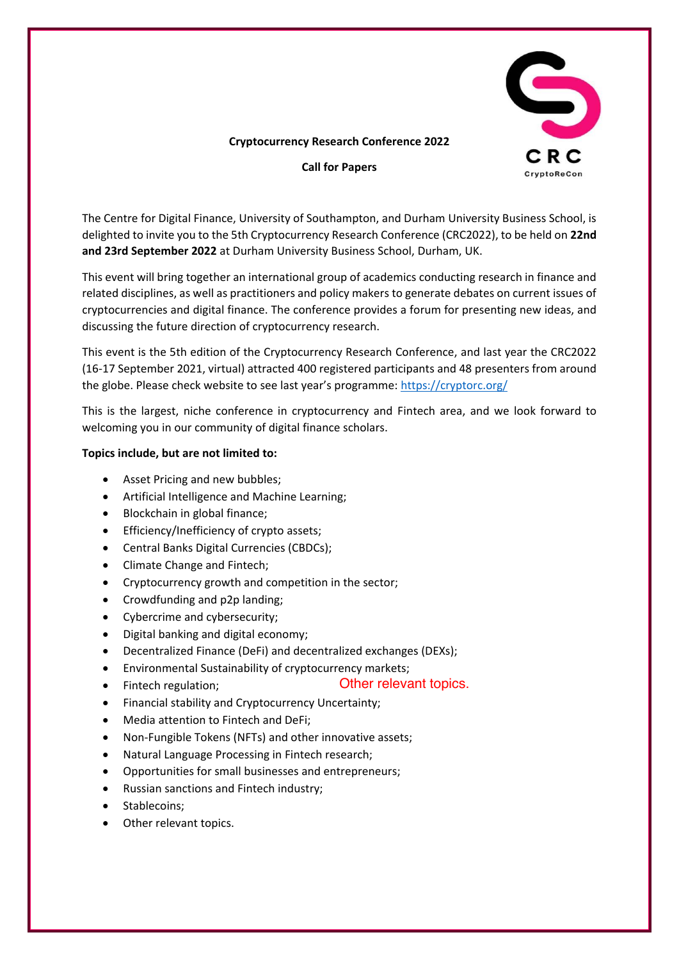

## **Cryptocurrency Research Conference 2022**

**Call for Papers**

The Centre for Digital Finance, University of Southampton, and Durham University Business School, is delighted to invite you to the 5th Cryptocurrency Research Conference (CRC2022), to be held on **22nd and 23rd September 2022** at Durham University Business School, Durham, UK.

This event will bring together an international group of academics conducting research in finance and related disciplines, as well as practitioners and policy makers to generate debates on current issues of cryptocurrencies and digital finance. The conference provides a forum for presenting new ideas, and discussing the future direction of cryptocurrency research.

This event is the 5th edition of the Cryptocurrency Research Conference, and last year the CRC2022 (16-17 September 2021, virtual) attracted 400 registered participants and 48 presenters from around the globe. Please check website to see last year's programme: <https://cryptorc.org/>

This is the largest, niche conference in cryptocurrency and Fintech area, and we look forward to welcoming you in our community of digital finance scholars.

## **Topics include, but are not limited to:**

- Asset Pricing and new bubbles;
- Artificial Intelligence and Machine Learning;
- Blockchain in global finance;
- Efficiency/Inefficiency of crypto assets;
- Central Banks Digital Currencies (CBDCs);
- Climate Change and Fintech;
- Cryptocurrency growth and competition in the sector;
- Crowdfunding and p2p landing;
- Cybercrime and cybersecurity;
- Digital banking and digital economy;
- Decentralized Finance (DeFi) and decentralized exchanges (DEXs);
- Environmental Sustainability of cryptocurrency markets;
- Fintech regulation;

Other relevant topics.

- Financial stability and Cryptocurrency Uncertainty;
- Media attention to Fintech and DeFi;
- Non-Fungible Tokens (NFTs) and other innovative assets;
- Natural Language Processing in Fintech research;
- Opportunities for small businesses and entrepreneurs;
- Russian sanctions and Fintech industry;
- Stablecoins:
- Other relevant topics.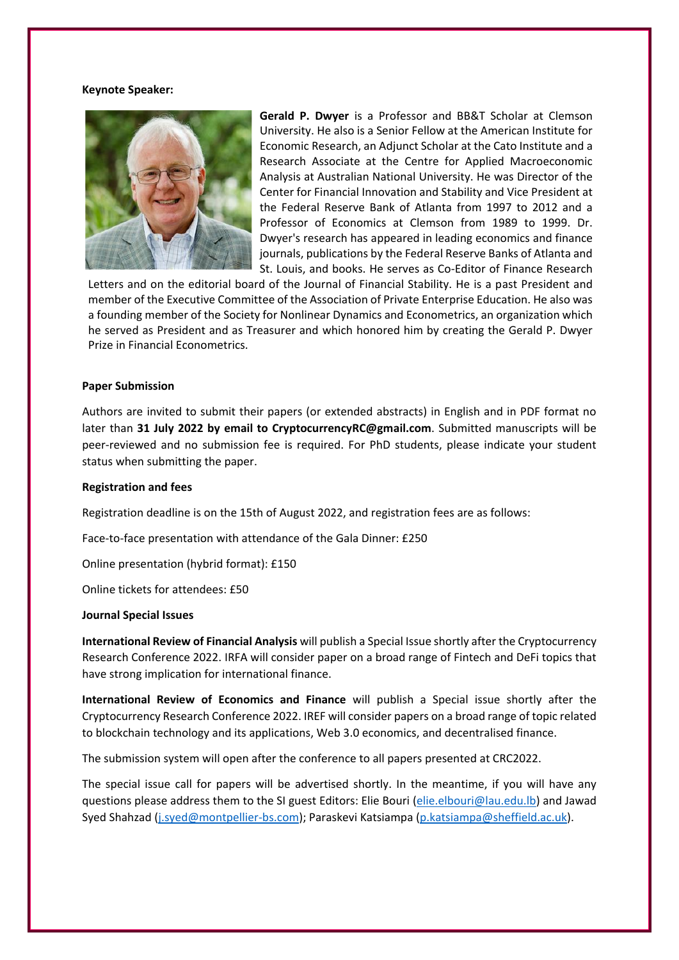#### **Keynote Speaker:**



**Gerald P. Dwyer** is a Professor and BB&T Scholar at Clemson University. He also is a Senior Fellow at the American Institute for Economic Research, an Adjunct Scholar at the Cato Institute and a Research Associate at the Centre for Applied Macroeconomic Analysis at Australian National University. He was Director of the Center for Financial Innovation and Stability and Vice President at the Federal Reserve Bank of Atlanta from 1997 to 2012 and a Professor of Economics at Clemson from 1989 to 1999. Dr. Dwyer's research has appeared in leading economics and finance journals, publications by the Federal Reserve Banks of Atlanta and St. Louis, and books. He serves as Co-Editor of Finance Research

Letters and on the editorial board of the Journal of Financial Stability. He is a past President and member of the Executive Committee of the Association of Private Enterprise Education. He also was a founding member of the Society for Nonlinear Dynamics and Econometrics, an organization which he served as President and as Treasurer and which honored him by creating the Gerald P. Dwyer Prize in Financial Econometrics.

#### **Paper Submission**

Authors are invited to submit their papers (or extended abstracts) in English and in PDF format no later than **31 July 2022 by email to CryptocurrencyRC@gmail.com**. Submitted manuscripts will be peer-reviewed and no submission fee is required. For PhD students, please indicate your student status when submitting the paper.

#### **Registration and fees**

Registration deadline is on the 15th of August 2022, and registration fees are as follows:

Face-to-face presentation with attendance of the Gala Dinner: £250

Online presentation (hybrid format): £150

Online tickets for attendees: £50

#### **Journal Special Issues**

**International Review of Financial Analysis** will publish a Special Issue shortly after the Cryptocurrency Research Conference 2022. IRFA will consider paper on a broad range of Fintech and DeFi topics that have strong implication for international finance.

**International Review of Economics and Finance** will publish a Special issue shortly after the Cryptocurrency Research Conference 2022. IREF will consider papers on a broad range of topic related to blockchain technology and its applications, Web 3.0 economics, and decentralised finance.

The submission system will open after the conference to all papers presented at CRC2022.

The special issue call for papers will be advertised shortly. In the meantime, if you will have any questions please address them to the SI guest Editors: Elie Bouri [\(elie.elbouri@lau.edu.lb\)](mailto:elie.elbouri@lau.edu.lb) and Jawad Syed Shahzad [\(j.syed@montpellier-bs.com\)](mailto:j.syed@montpellier-bs.com); Paraskevi Katsiampa [\(p.katsiampa@sheffield.ac.uk\)](mailto:p.katsiampa@sheffield.ac.uk).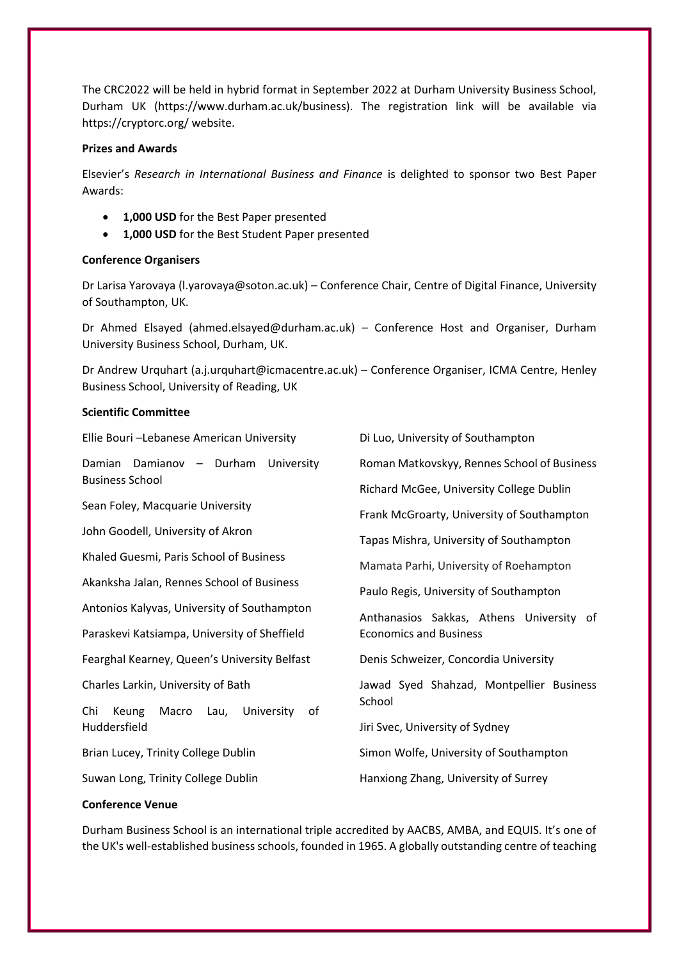The CRC2022 will be held in hybrid format in September 2022 at Durham University Business School, Durham UK (https://www.durham.ac.uk/business). The registration link will be available via https://cryptorc.org/ website.

## **Prizes and Awards**

Elsevier's *Research in International Business and Finance* is delighted to sponsor two Best Paper Awards:

- **1,000 USD** for the Best Paper presented
- **1,000 USD** for the Best Student Paper presented

## **Conference Organisers**

Dr Larisa Yarovaya (l.yarovaya@soton.ac.uk) – Conference Chair, Centre of Digital Finance, University of Southampton, UK.

Dr Ahmed Elsayed (ahmed.elsayed@durham.ac.uk) – Conference Host and Organiser, Durham University Business School, Durham, UK.

Dr Andrew Urquhart (a.j.urquhart@icmacentre.ac.uk) – Conference Organiser, ICMA Centre, Henley Business School, University of Reading, UK

## **Scientific Committee**

| Di Luo, University of Southampton           |
|---------------------------------------------|
| Roman Matkovskyy, Rennes School of Business |
| Richard McGee, University College Dublin    |
| Frank McGroarty, University of Southampton  |
| Tapas Mishra, University of Southampton     |
| Mamata Parhi, University of Roehampton      |
| Paulo Regis, University of Southampton      |
| Anthanasios Sakkas, Athens University of    |
| <b>Economics and Business</b>               |
| Denis Schweizer, Concordia University       |
| Jawad Syed Shahzad, Montpellier Business    |
| School                                      |
| Jiri Svec, University of Sydney             |
| Simon Wolfe, University of Southampton      |
| Hanxiong Zhang, University of Surrey        |
|                                             |

# **Conference Venue**

Durham Business School is an international triple accredited by AACBS, AMBA, and EQUIS. It's one of the UK's well-established business schools, founded in 1965. A globally outstanding centre of teaching